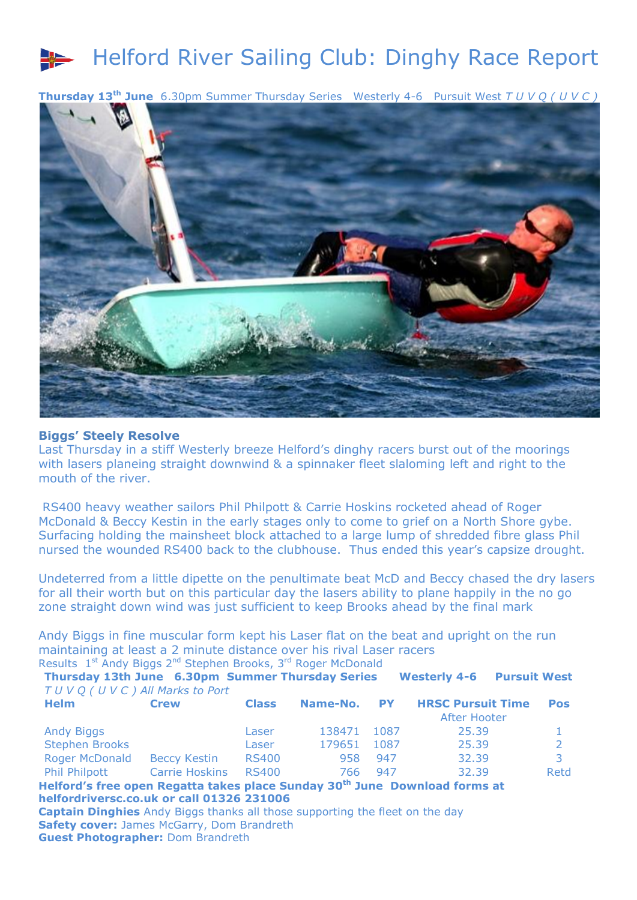## Helford River Sailing Club: Dinghy Race Report

**Thursday 13th June** 6.30pm Summer Thursday Series Westerly 4-6 Pursuit West *T U V Q ( U V C )* 



## **Biggs' Steely Resolve**

Last Thursday in a stiff Westerly breeze Helford's dinghy racers burst out of the moorings with lasers planeing straight downwind & a spinnaker fleet slaloming left and right to the mouth of the river

RS400 heavy weather sailors Phil Philpott & Carrie Hoskins rocketed ahead of Roger McDonald & Beccy Kestin in the early stages only to come to grief on a North Shore gybe. Surfacing holding the mainsheet block attached to a large lump of shredded fibre glass Phil nursed the wounded RS400 back to the clubhouse. Thus ended this year's capsize drought.

Undeterred from a little dipette on the penultimate beat McD and Beccy chased the dry lasers for all their worth but on this particular day the lasers ability to plane happily in the no go zone straight down wind was just sufficient to keep Brooks ahead by the final mark

Andy Biggs in fine muscular form kept his Laser flat on the beat and upright on the run maintaining at least a 2 minute distance over his rival Laser racers Results 1<sup>st</sup> Andy Biggs 2<sup>nd</sup> Stephen Brooks, 3<sup>rd</sup> Roger McDonald

**Thursday 13th June 6.30pm Summer Thursday Series Westerly 4-6 Pursuit West**  *T U V Q ( U V C ) All Marks to Port*

| <b>Helm</b>           | <b>Crew</b>           | <b>Class</b> |             |      | Name-No. PY HRSC Pursuit Time | Pos  |
|-----------------------|-----------------------|--------------|-------------|------|-------------------------------|------|
|                       |                       |              |             |      | After Hooter                  |      |
| <b>Andy Biggs</b>     |                       | Laser        | 138471 1087 |      | 25.39                         |      |
| <b>Stephen Brooks</b> |                       | Laser        | 179651      | 1087 | 25.39                         |      |
| <b>Roger McDonald</b> | Beccy Kestin          | <b>RS400</b> | 958         | 947  | 32.39                         | 3.   |
| Phil Philpott         | <b>Carrie Hoskins</b> | RS400        | 766.        | 947  | 32.39                         | Retd |

**Helford's free open Regatta takes place Sunday 30th June Download forms at helfordriversc.co.uk or call 01326 231006**

**Captain Dinghies** Andy Biggs thanks all those supporting the fleet on the day **Safety cover:** James McGarry, Dom Brandreth **Guest Photographer:** Dom Brandreth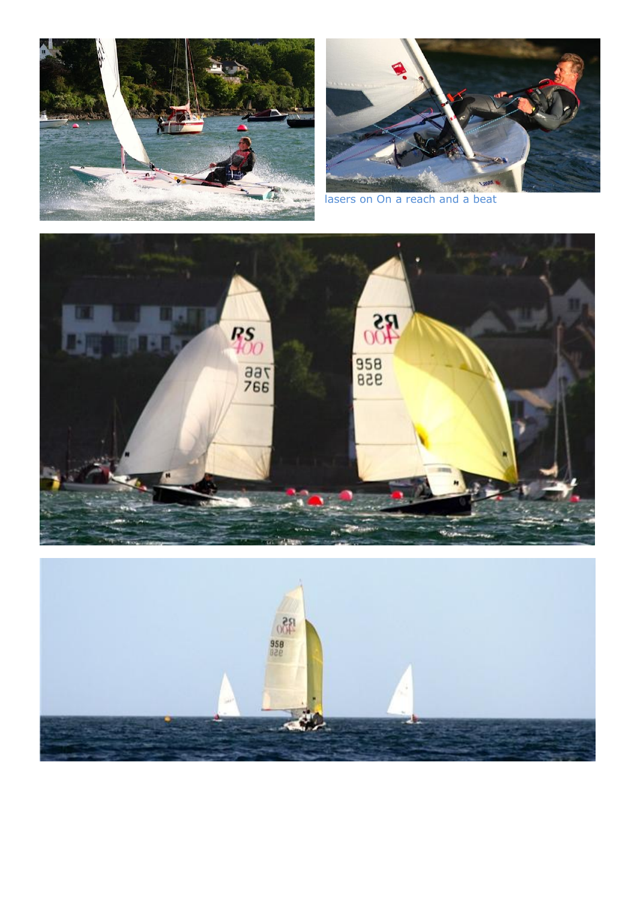



lasers on On a reach and a beat



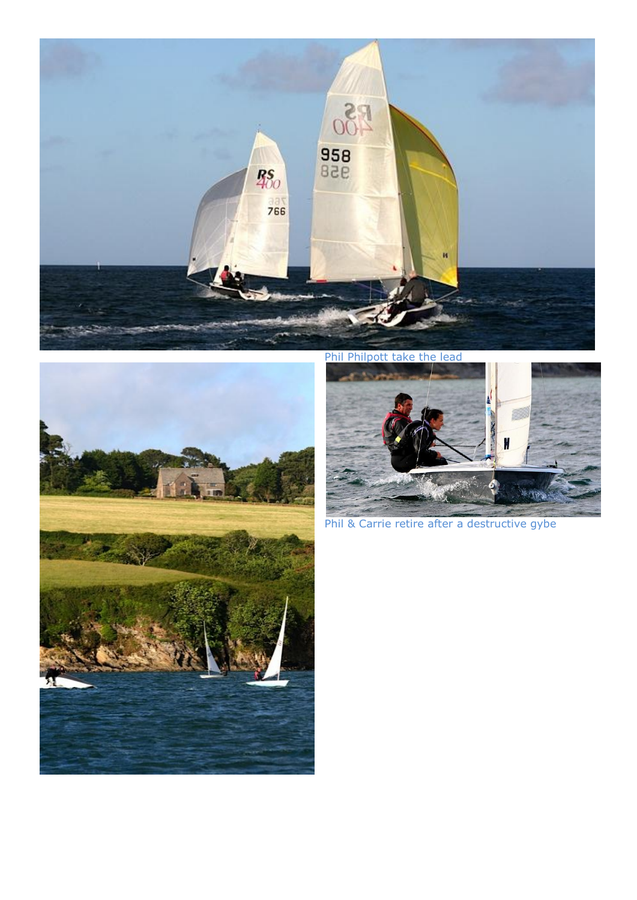



Phil Philpott take the lead



Phil & Carrie retire after a destructive gybe